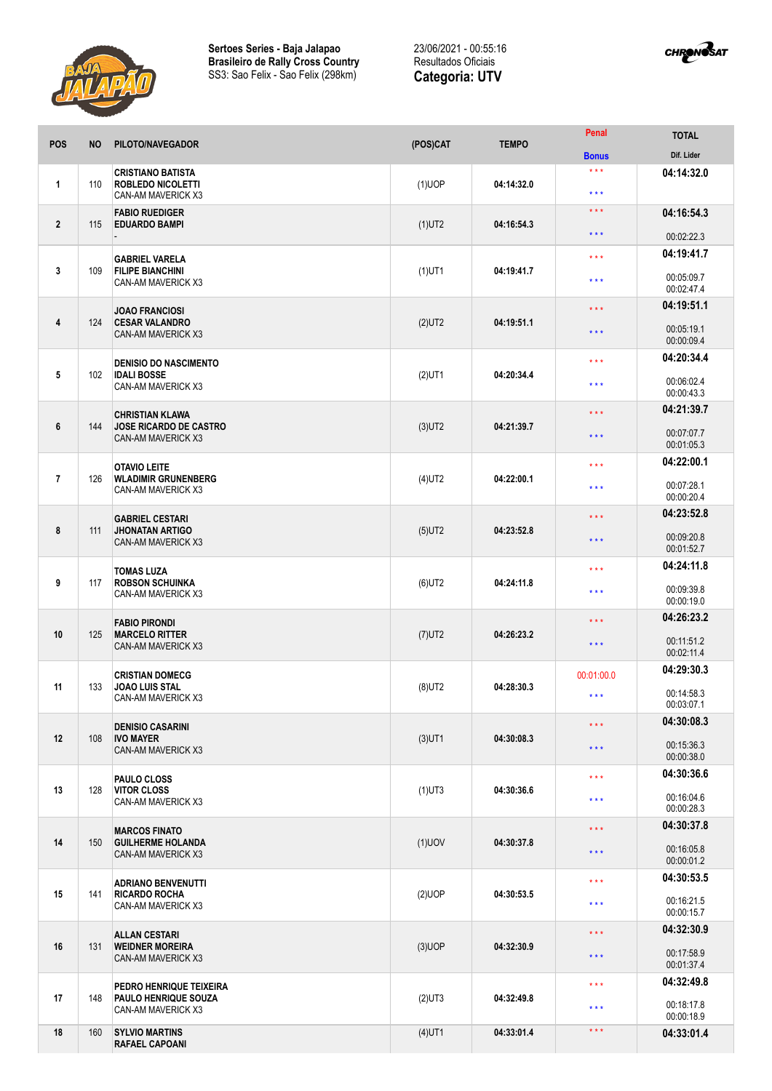



| <b>POS</b>     | <b>NO</b> | PILOTO/NAVEGADOR                                                              | (POS)CAT  | <b>TEMPO</b> | <b>Penal</b>            | <b>TOTAL</b>                                                                                                                                                                                                                                                                                                                                               |
|----------------|-----------|-------------------------------------------------------------------------------|-----------|--------------|-------------------------|------------------------------------------------------------------------------------------------------------------------------------------------------------------------------------------------------------------------------------------------------------------------------------------------------------------------------------------------------------|
|                |           |                                                                               |           |              | <b>Bonus</b>            | Dif. Lider                                                                                                                                                                                                                                                                                                                                                 |
| $\mathbf{1}$   | 110       | <b>CRISTIANO BATISTA</b><br><b>ROBLEDO NICOLETTI</b><br>CAN-AM MAVERICK X3    | $(1)$ UOP | 04:14:32.0   | $***$<br>$***$          | 04:14:32.0                                                                                                                                                                                                                                                                                                                                                 |
| $\overline{2}$ | 115       | <b>FABIO RUEDIGER</b><br><b>EDUARDO BAMPI</b>                                 | $(1)$ UT2 | 04:16:54.3   | $***$                   | 04:16:54.3                                                                                                                                                                                                                                                                                                                                                 |
|                |           |                                                                               |           |              | $***$                   | 00:02:22.3                                                                                                                                                                                                                                                                                                                                                 |
|                |           | <b>GABRIEL VARELA</b>                                                         |           |              | $***$                   | 04:19:41.7<br>00:05:09.7<br>00:02:47.4<br>04:19:51.1<br>00:05:19.1<br>00:00:09.4<br>04:20:34.4<br>00:06:02.4<br>00:00:43.3<br>04:21:39.7<br>00:07:07.7<br>00:01:05.3<br>04:22:00.1<br>00:07:28.1<br>00:00:20.4<br>04:23:52.8<br>00:09:20.8<br>00:01:52.7<br>04:24:11.8<br>00:09:39.8<br>00:00:19.0<br>04:26:23.2<br>00:11:51.2<br>00:02:11.4<br>04:29:30.3 |
| 3              | 109       | <b>FILIPE BIANCHINI</b><br>CAN-AM MAVERICK X3                                 | $(1)$ UT1 | 04:19:41.7   | $***$                   |                                                                                                                                                                                                                                                                                                                                                            |
|                |           | <b>JOAO FRANCIOSI</b>                                                         |           |              | $***$                   |                                                                                                                                                                                                                                                                                                                                                            |
| 4              | 124       | <b>CESAR VALANDRO</b><br><b>CAN-AM MAVERICK X3</b>                            | $(2)$ UT2 | 04:19:51.1   | $\star \star \star$     |                                                                                                                                                                                                                                                                                                                                                            |
|                |           | <b>DENISIO DO NASCIMENTO</b>                                                  |           |              | $***$                   |                                                                                                                                                                                                                                                                                                                                                            |
| 5              | 102       | <b>IDALI BOSSE</b><br>CAN-AM MAVERICK X3                                      | $(2)$ UT1 | 04:20:34.4   | $***$                   |                                                                                                                                                                                                                                                                                                                                                            |
|                |           |                                                                               |           |              | $***$                   |                                                                                                                                                                                                                                                                                                                                                            |
| 6              | 144       | <b>CHRISTIAN KLAWA</b><br><b>JOSE RICARDO DE CASTRO</b><br>CAN-AM MAVERICK X3 | $(3)$ UT2 | 04:21:39.7   | $***$                   |                                                                                                                                                                                                                                                                                                                                                            |
|                |           | <b>OTAVIO LEITE</b>                                                           |           |              | $***$                   |                                                                                                                                                                                                                                                                                                                                                            |
| $\overline{7}$ | 126       | <b>WLADIMIR GRUNENBERG</b><br>CAN-AM MAVERICK X3                              | $(4)$ UT2 | 04:22:00.1   | $***$                   |                                                                                                                                                                                                                                                                                                                                                            |
|                |           | <b>GABRIEL CESTARI</b>                                                        |           |              | $\star$ $\star$ $\star$ |                                                                                                                                                                                                                                                                                                                                                            |
| 8              | 111       | <b>JHONATAN ARTIGO</b><br>CAN-AM MAVERICK X3                                  | $(5)$ UT2 | 04:23:52.8   | $***$                   |                                                                                                                                                                                                                                                                                                                                                            |
|                |           | <b>TOMAS LUZA</b>                                                             |           |              | $***$                   |                                                                                                                                                                                                                                                                                                                                                            |
| 9              | 117       | <b>ROBSON SCHUINKA</b><br>CAN-AM MAVERICK X3                                  | $(6)$ UT2 | 04:24:11.8   | $***$                   |                                                                                                                                                                                                                                                                                                                                                            |
|                |           | <b>FABIO PIRONDI</b>                                                          |           |              | $***$                   |                                                                                                                                                                                                                                                                                                                                                            |
| 10             | 125       | <b>MARCELO RITTER</b><br>CAN-AM MAVERICK X3                                   | $(7)$ UT2 | 04:26:23.2   | $***$                   |                                                                                                                                                                                                                                                                                                                                                            |
|                |           | <b>CRISTIAN DOMECG</b>                                                        |           |              | 00:01:00.0              |                                                                                                                                                                                                                                                                                                                                                            |
| 11             | 133       | <b>JOAO LUIS STAL</b><br>CAN-AM MAVERICK X3                                   | $(8)$ UT2 | 04:28:30.3   | $***$                   | 00:14:58.3<br>00:03:07.1                                                                                                                                                                                                                                                                                                                                   |
|                |           |                                                                               |           |              | $\star$ $\star$ $\star$ | 04:30:08.3                                                                                                                                                                                                                                                                                                                                                 |
| 12             | 108       | <b>DENISIO CASARINI</b><br><b>IVO MAYER</b><br>CAN-AM MAVERICK X3             | $(3)$ UT1 | 04:30:08.3   |                         |                                                                                                                                                                                                                                                                                                                                                            |
|                |           |                                                                               |           |              | $***$                   | 00:15:36.3<br>00:00:38.0                                                                                                                                                                                                                                                                                                                                   |
|                |           | <b>PAULO CLOSS</b>                                                            |           |              | $***$                   | 04:30:36.6                                                                                                                                                                                                                                                                                                                                                 |
| 13             | 128       | <b>VITOR CLOSS</b><br>CAN-AM MAVERICK X3                                      | $(1)$ UT3 | 04:30:36.6   | $* * *$                 | 00:16:04.6<br>00:00:28.3                                                                                                                                                                                                                                                                                                                                   |
|                | 150       |                                                                               |           |              | $\star$ $\star$ $\star$ | 04:30:37.8                                                                                                                                                                                                                                                                                                                                                 |
| 14             |           | <b>MARCOS FINATO</b><br><b>GUILHERME HOLANDA</b><br>CAN-AM MAVERICK X3        | $(1)$ UOV | 04:30:37.8   |                         |                                                                                                                                                                                                                                                                                                                                                            |
|                |           |                                                                               |           |              | $\star$ $\star$ $\star$ | 00:16:05.8<br>00:00:01.2                                                                                                                                                                                                                                                                                                                                   |
|                | 141       | <b>ADRIANO BENVENUTTI</b><br><b>RICARDO ROCHA</b><br>CAN-AM MAVERICK X3       | (2)UOP    | 04:30:53.5   | $***$                   | 04:30:53.5                                                                                                                                                                                                                                                                                                                                                 |
| 15             |           |                                                                               |           |              |                         | 00:16:21.5                                                                                                                                                                                                                                                                                                                                                 |
|                |           |                                                                               |           |              | $***$                   | 00:00:15.7                                                                                                                                                                                                                                                                                                                                                 |
|                |           | <b>ALLAN CESTARI</b>                                                          |           |              | $\star$ $\star$ $\star$ | 04:32:30.9                                                                                                                                                                                                                                                                                                                                                 |
| 16             | 131       | <b>WEIDNER MOREIRA</b><br>CAN-AM MAVERICK X3                                  | $(3)$ UOP | 04:32:30.9   | $***$                   | 00:17:58.9<br>00:01:37.4                                                                                                                                                                                                                                                                                                                                   |
|                |           | PEDRO HENRIQUE TEIXEIRA                                                       |           |              | $***$                   | 04:32:49.8                                                                                                                                                                                                                                                                                                                                                 |
| 17             | 148       | PAULO HENRIQUE SOUZA<br>CAN-AM MAVERICK X3                                    | $(2)$ UT3 | 04:32:49.8   | $***$                   | 00:18:17.8<br>00:00:18.9                                                                                                                                                                                                                                                                                                                                   |
| 18             | 160       | <b>SYLVIO MARTINS</b><br><b>RAFAEL CAPOANI</b>                                | $(4)$ UT1 | 04:33:01.4   | $* * *$                 | 04:33:01.4                                                                                                                                                                                                                                                                                                                                                 |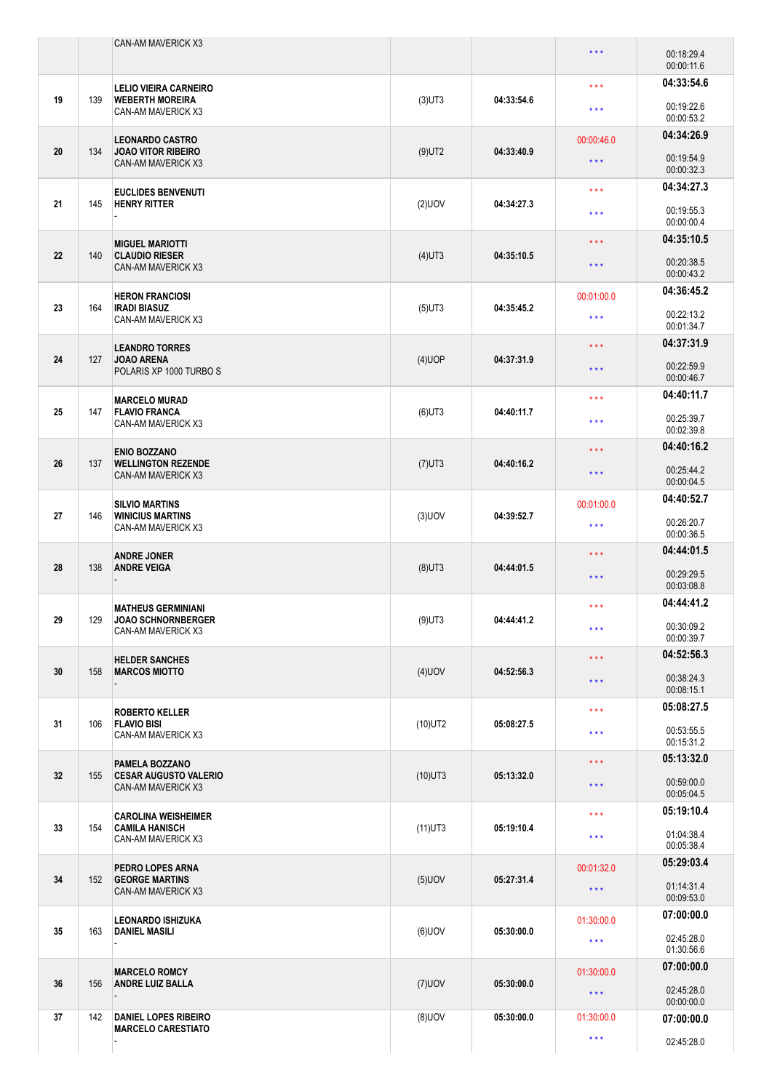|    |     | <b>CAN-AM MAVERICK X3</b>                                                 |            |            | $\star$ $\star$ $\star$ | 00:18:29.4<br>00:00:11.6 |
|----|-----|---------------------------------------------------------------------------|------------|------------|-------------------------|--------------------------|
| 19 | 139 | <b>LELIO VIEIRA CARNEIRO</b><br><b>WEBERTH MOREIRA</b>                    | $(3)$ UT3  | 04:33:54.6 | $***$                   | 04:33:54.6<br>00:19:22.6 |
|    |     | CAN-AM MAVERICK X3                                                        |            |            | $\star$ $\star$ $\star$ | 00:00:53.2               |
| 20 | 134 | <b>LEONARDO CASTRO</b><br><b>JOAO VITOR RIBEIRO</b>                       | $(9)$ UT2  | 04:33:40.9 | 00:00:46.0              | 04:34:26.9               |
|    |     | CAN-AM MAVERICK X3                                                        |            |            | $\star$ $\star$ $\star$ | 00:19:54.9<br>00:00:32.3 |
|    |     | <b>EUCLIDES BENVENUTI</b>                                                 |            |            | $\star\star\star$       | 04:34:27.3               |
| 21 | 145 | <b>HENRY RITTER</b>                                                       | $(2)$ UOV  | 04:34:27.3 | $***$                   | 00:19:55.3<br>00:00:00.4 |
|    |     | <b>MIGUEL MARIOTTI</b>                                                    |            | 04:35:10.5 | $\star$ $\star$ $\star$ | 04:35:10.5               |
| 22 | 140 | <b>CLAUDIO RIESER</b><br><b>CAN-AM MAVERICK X3</b>                        | $(4)$ UT3  |            | $***$                   | 00:20:38.5<br>00:00:43.2 |
|    |     | <b>HERON FRANCIOSI</b>                                                    |            |            | 00:01:00.0              | 04:36:45.2               |
| 23 | 164 | <b>IRADI BIASUZ</b><br>CAN-AM MAVERICK X3                                 | $(5)$ UT3  | 04:35:45.2 | $***$                   | 00:22:13.2<br>00:01:34.7 |
|    |     | <b>LEANDRO TORRES</b><br><b>JOAO ARENA</b>                                |            |            | $\star$ $\star$ $\star$ | 04:37:31.9               |
| 24 | 127 | POLARIS XP 1000 TURBO S                                                   | $(4)$ UOP  | 04:37:31.9 | $\star$ $\star$ $\star$ | 00:22:59.9<br>00:00:46.7 |
|    |     | <b>MARCELO MURAD</b>                                                      |            |            | $\star$ $\star$ $\star$ | 04:40:11.7               |
| 25 | 147 | <b>FLAVIO FRANCA</b><br>CAN-AM MAVERICK X3                                | $(6)$ UT3  | 04:40:11.7 | $\star$ $\star$ $\star$ | 00:25:39.7<br>00:02:39.8 |
|    |     | <b>ENIO BOZZANO</b><br><b>WELLINGTON REZENDE</b><br>CAN-AM MAVERICK X3    |            |            | $\star$ $\star$ $\star$ | 04:40:16.2               |
| 26 | 137 |                                                                           | $(7)$ UT3  | 04:40:16.2 | $***$                   | 00:25:44.2<br>00:00:04.5 |
| 27 |     | <b>SILVIO MARTINS</b>                                                     |            |            | 00:01:00.0              | 04:40:52.7               |
|    | 146 | <b>WINICIUS MARTINS</b><br>CAN-AM MAVERICK X3                             | $(3)$ UOV  | 04:39:52.7 | $\star$ $\star$ $\star$ | 00:26:20.7<br>00:00:36.5 |
|    |     | <b>ANDRE JONER</b>                                                        |            |            | $***$                   | 04:44:01.5               |
| 28 | 138 | <b>ANDRE VEIGA</b>                                                        | $(8)$ UT3  | 04:44:01.5 | $\star$ $\star$ $\star$ | 00:29:29.5<br>00:03:08.8 |
|    |     | <b>MATHEUS GERMINIANI</b>                                                 |            | 04:44:41.2 | $\star$ $\star$ $\star$ | 04:44:41.2               |
| 29 | 129 | <b>JOAO SCHNORNBERGER</b><br>CAN-AM MAVERICK X3                           | $(9)$ UT3  |            | $\star\star\star$       | 00:30:09.2<br>00:00:39.7 |
|    |     | <b>HELDER SANCHES</b>                                                     |            |            | $\star$ $\star$ $\star$ | 04:52:56.3               |
| 30 | 158 | <b>MARCOS MIOTTO</b>                                                      | $(4)$ UOV  | 04:52:56.3 | $\star$ $\star$ $\star$ | 00:38:24.3<br>00:08:15.1 |
|    |     | <b>ROBERTO KELLER</b>                                                     |            |            | $\star$ $\star$ $\star$ | 05:08:27.5               |
| 31 | 106 | <b>FLAVIO BISI</b><br>CAN-AM MAVERICK X3                                  | $(10)$ UT2 | 05:08:27.5 | $\star$ $\star$ $\star$ | 00:53:55.5<br>00:15:31.2 |
|    |     | PAMELA BOZZANO                                                            |            |            | $\star$ $\star$ $\star$ | 05:13:32.0               |
| 32 | 155 | <b>CESAR AUGUSTO VALERIO</b><br>CAN-AM MAVERICK X3                        | $(10)$ UT3 | 05:13:32.0 | $\star$ $\star$ $\star$ | 00:59:00.0<br>00:05:04.5 |
|    | 154 | <b>CAROLINA WEISHEIMER</b><br><b>CAMILA HANISCH</b><br>CAN-AM MAVERICK X3 | $(11)$ UT3 | 05:19:10.4 | $\star$ $\star$ $\star$ | 05:19:10.4               |
| 33 |     |                                                                           |            |            | $\star$ $\star$ $\star$ | 01:04:38.4<br>00:05:38.4 |
|    | 152 | PEDRO LOPES ARNA<br><b>GEORGE MARTINS</b><br>CAN-AM MAVERICK X3           | $(5)$ UOV  | 05:27:31.4 | 00:01:32.0              | 05:29:03.4               |
| 34 |     |                                                                           |            |            | $\star$ $\star$ $\star$ | 01:14:31.4<br>00:09:53.0 |
|    | 163 | <b>LEONARDO ISHIZUKA</b><br><b>DANIEL MASILI</b>                          | $(6)$ UOV  | 05:30:00.0 | 01:30:00.0              | 07:00:00.0               |
| 35 |     |                                                                           |            |            | $\star$ $\star$ $\star$ | 02:45:28.0<br>01:30:56.6 |
|    |     | <b>MARCELO ROMCY</b>                                                      |            |            | 01:30:00.0              | 07:00:00.0               |
| 36 | 156 | <b>ANDRE LUIZ BALLA</b>                                                   | $(7)$ UOV  | 05:30:00.0 | $\star$ $\star$ $\star$ | 02:45:28.0<br>00:00:00.0 |
| 37 | 142 | <b>DANIEL LOPES RIBEIRO</b><br><b>MARCELO CARESTIATO</b>                  | $(8)$ UOV  | 05:30:00.0 | 01:30:00.0              | 07:00:00.0               |
|    |     |                                                                           |            |            | $\star$ $\star$ $\star$ | 02:45:28.0               |